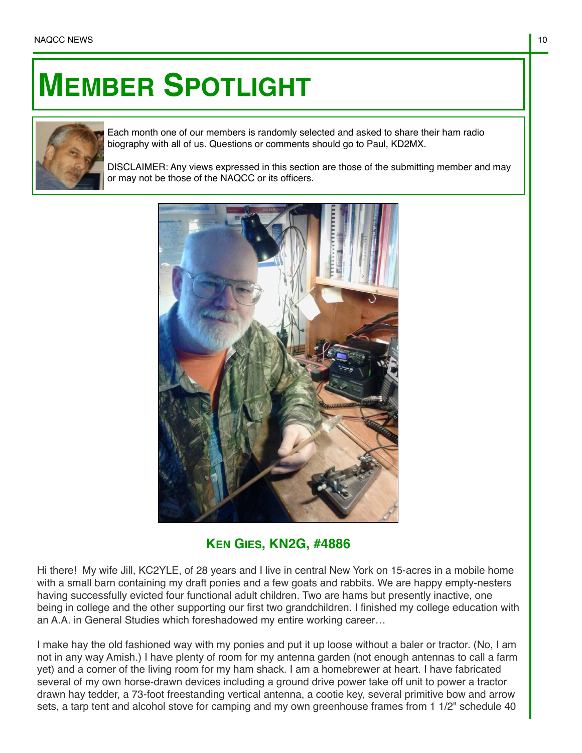## **MEMBER SPOTLIGHT**



Each month one of our members is randomly selected and asked to share their ham radio biography with all of us. Questions or comments should go to Paul, KD2MX.

DISCLAIMER: Any views expressed in this section are those of the submitting member and may or may not be those of the NAQCC or its officers.



**KEN GIES, KN2G, #4886**

Hi there! My wife Jill, KC2YLE, of 28 years and I live in central New York on 15-acres in a mobile home with a small barn containing my draft ponies and a few goats and rabbits. We are happy empty-nesters having successfully evicted four functional adult children. Two are hams but presently inactive, one being in college and the other supporting our first two grandchildren. I finished my college education with an A.A. in General Studies which foreshadowed my entire working career…

I make hay the old fashioned way with my ponies and put it up loose without a baler or tractor. (No, I am not in any way Amish.) I have plenty of room for my antenna garden (not enough antennas to call a farm yet) and a corner of the living room for my ham shack. I am a homebrewer at heart. I have fabricated several of my own horse-drawn devices including a ground drive power take off unit to power a tractor drawn hay tedder, a 73-foot freestanding vertical antenna, a cootie key, several primitive bow and arrow sets, a tarp tent and alcohol stove for camping and my own greenhouse frames from 1 1/2" schedule 40